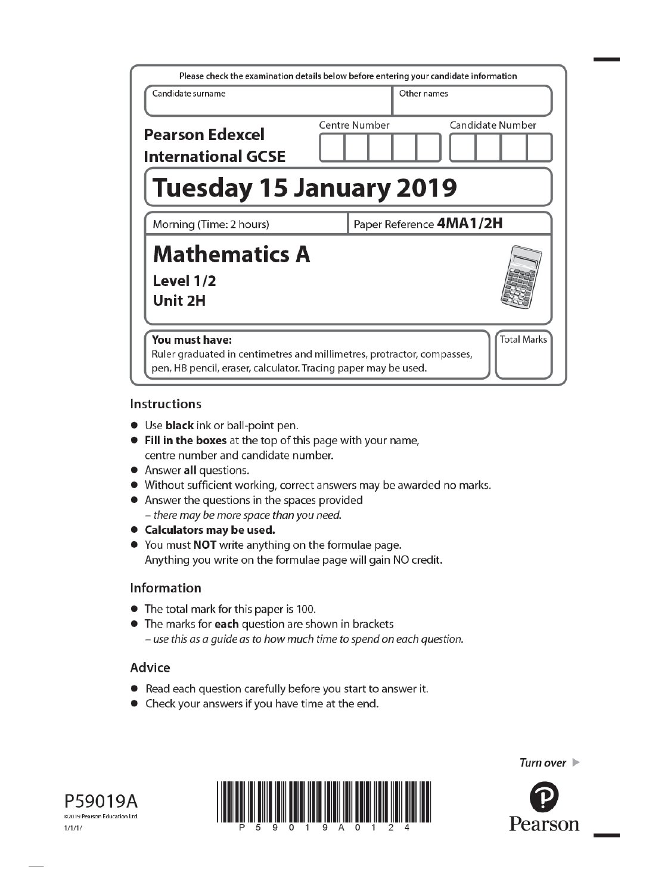| Please check the examination details below before entering your candidate information                                                                      |                         |                    |  |  |
|------------------------------------------------------------------------------------------------------------------------------------------------------------|-------------------------|--------------------|--|--|
| Candidate surname                                                                                                                                          | Other names             |                    |  |  |
| <b>Pearson Edexcel</b><br><b>International GCSE</b>                                                                                                        | Centre Number           | Candidate Number   |  |  |
| <b>Tuesday 15 January 2019</b>                                                                                                                             |                         |                    |  |  |
| Morning (Time: 2 hours)                                                                                                                                    | Paper Reference 4MA1/2H |                    |  |  |
| <b>Mathematics A</b><br>Level 1/2<br>Unit 2H                                                                                                               |                         |                    |  |  |
| You must have:<br>Ruler graduated in centimetres and millimetres, protractor, compasses,<br>pen, HB pencil, eraser, calculator. Tracing paper may be used. |                         | <b>Total Marks</b> |  |  |

### **Instructions**

- Use **black** ink or ball-point pen.
- Fill in the boxes at the top of this page with your name, centre number and candidate number.
- Answer all questions.
- Without sufficient working, correct answers may be awarded no marks.
- Answer the questions in the spaces provided - there may be more space than you need.
- Calculators may be used.
- You must NOT write anything on the formulae page. Anything you write on the formulae page will gain NO credit.

# Information

- The total mark for this paper is 100.
- The marks for each question are shown in brackets - use this as a guide as to how much time to spend on each question.

# Advice

- Read each question carefully before you start to answer it.
- Check your answers if you have time at the end.





Turn over  $\blacktriangleright$ 

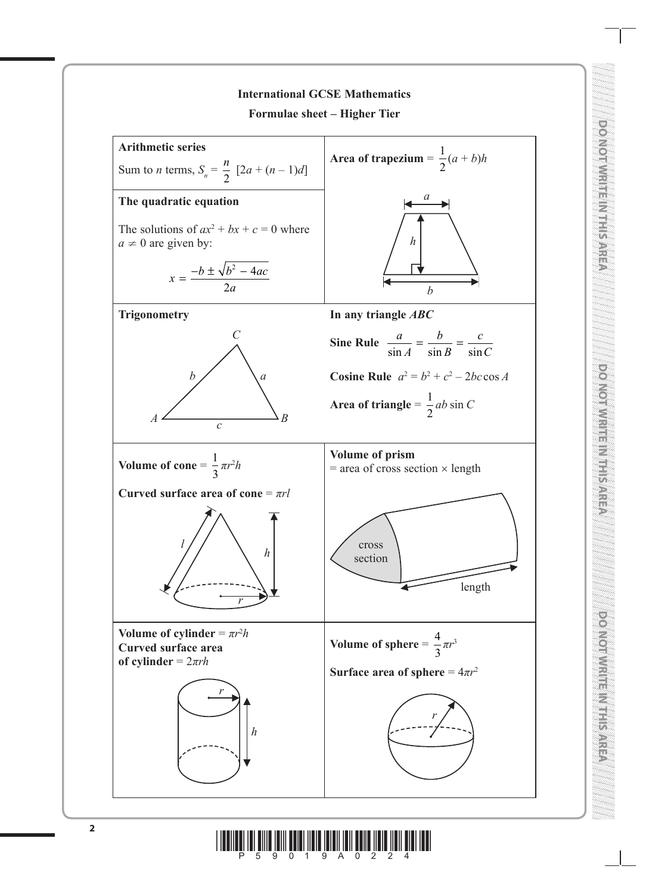

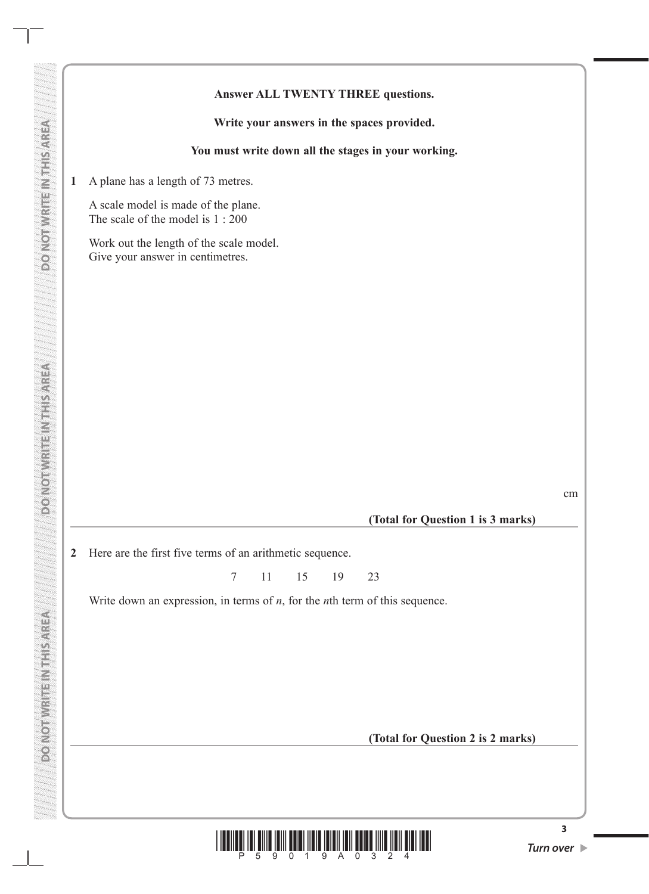### **Answer ALL TWENTY THREE questions.**

**Write your answers in the spaces provided.**

**You must write down all the stages in your working.**

**1** A plane has a length of 73 metres.

**DO NOT WRITE IN THIS AREA DO NOT WRITE IN THIS AREA DO NOT WRITE IN THIS AREA**

DONOININIENTE SAREN

**DO NOT WRITEIN THIS AREA** 

**DO NOT WRITE INTERS AREA** 

A scale model is made of the plane. The scale of the model is 1 : 200

Work out the length of the scale model. Give your answer in centimetres.

cm

 **(Total for Question 1 is 3 marks)**

**2** Here are the first five terms of an arithmetic sequence.

7 11 15 19 23

Write down an expression, in terms of *n*, for the *n*th term of this sequence.

**(Total for Question 2 is 2 marks)**

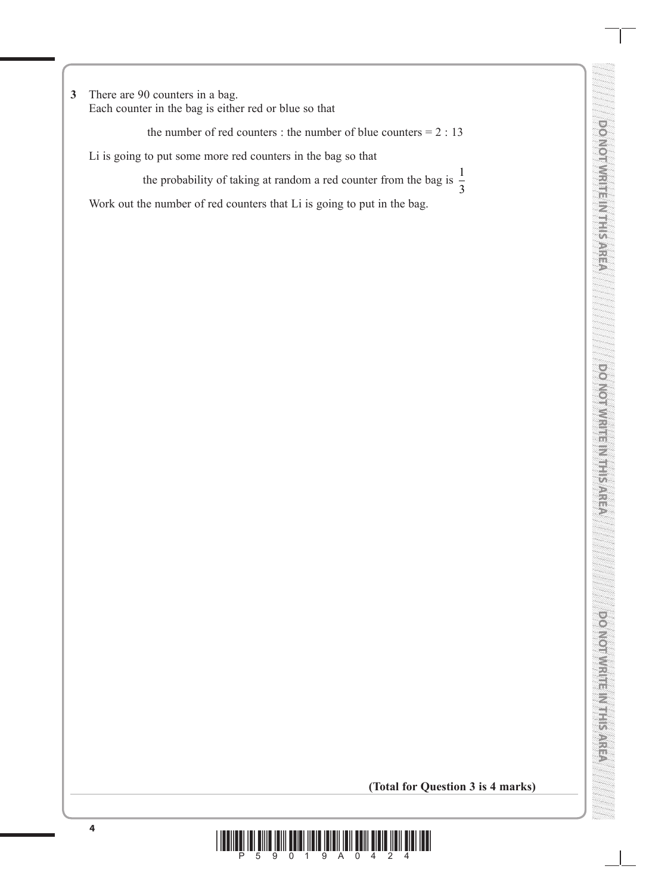**3** There are 90 counters in a bag. Each counter in the bag is either red or blue so that

the number of red counters : the number of blue counters  $= 2 : 13$ 

Li is going to put some more red counters in the bag so that

the probability of taking at random a red counter from the bag is  $\frac{1}{2}$ 3

Work out the number of red counters that Li is going to put in the bag.

**DO NOT WRITE IN THIS AREA**

**(Total for Question 3 is 4 marks)**

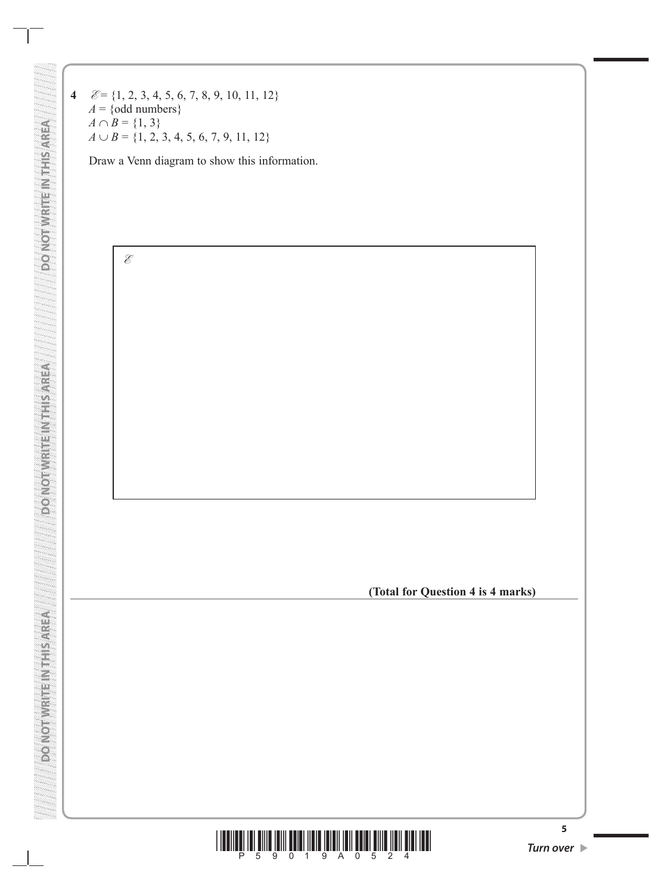**4 E** = {1, 2, 3, 4, 5, 6, 7, 8, 9, 10, 11, 12}  $A = \{odd numbers\}$  $A \cap B = \{1, 3\}$  $A \cup B = \{1, 2, 3, 4, 5, 6, 7, 9, 11, 12\}$ 

**DO NOT WRITE IN THIS AREA DO NOT WRITE IN THIS AREA DO NOT WRITE IN THIS AREA**

**DO NOT WRITEINTHIS AREA** 

**ASKASINER MEETINGS** 

**ASSASSING IN THE MAIL ON GOOD** 

Draw a Venn diagram to show this information.



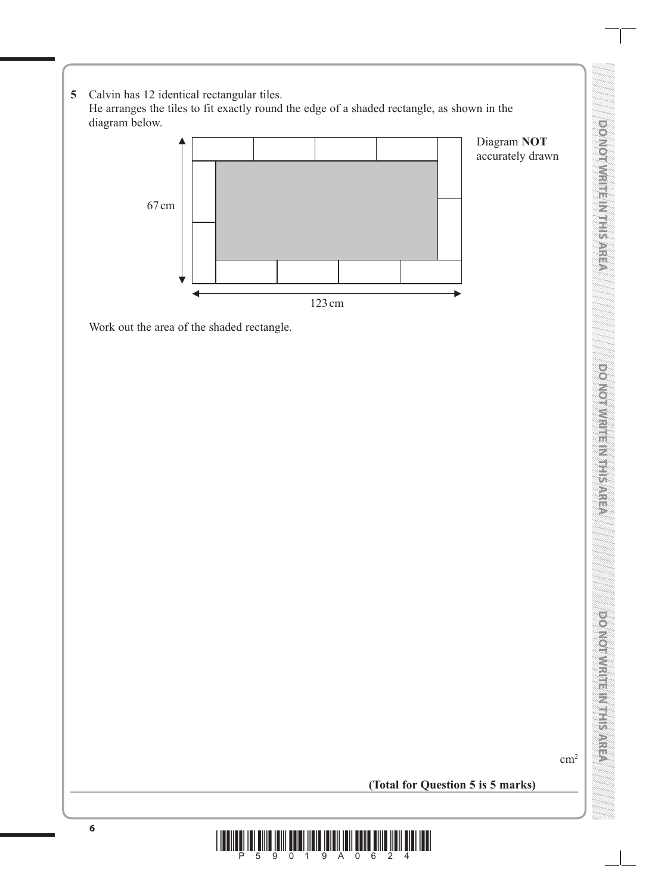- **DO NOI WRITES IN ELEVEN DO NOT WRITE IN THIS AREA** po Norwhite Murisance **DO NOT WRITE IN THIS AREA** DO NOTIVE RELIGIONS ANTISA **DO NOT WRITE IN THIS AREA**
- **5** Calvin has 12 identical rectangular tiles. He arranges the tiles to fit exactly round the edge of a shaded rectangle, as shown in the diagram below.



Work out the area of the shaded rectangle.

 $\text{cm}^2$ 

**(Total for Question 5 is 5 marks)**

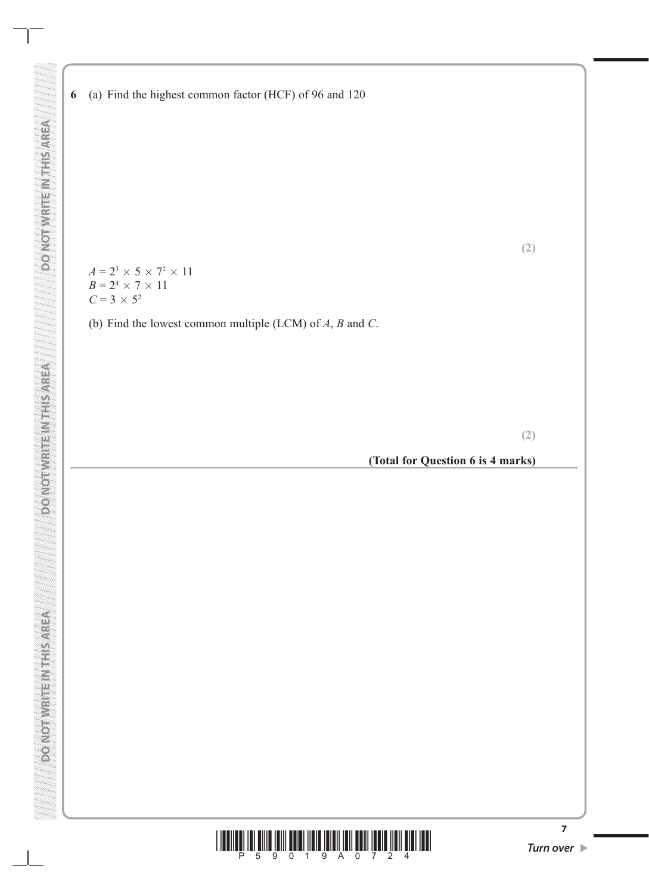$A = 2^3 \times 5 \times 7^2 \times 11$  $B = 2^4 \times 7 \times 11$  $C = 3 \times 5^2$ 

**DO NOT WRITE IN THIS AREA DO NOT WRITE IN THIS AREA DO NOT WRITE IN THIS AREA**

**DONOISE ESTER** 

**DO NOT WRITE NT I SAREA** 

**ASSASSING IN THE MAIL ON GOOD** 

(b) Find the lowest common multiple (LCM) of *A*, *B* and *C*.

**(2)**

**(2)**

**(Total for Question 6 is 4 marks)**



**7**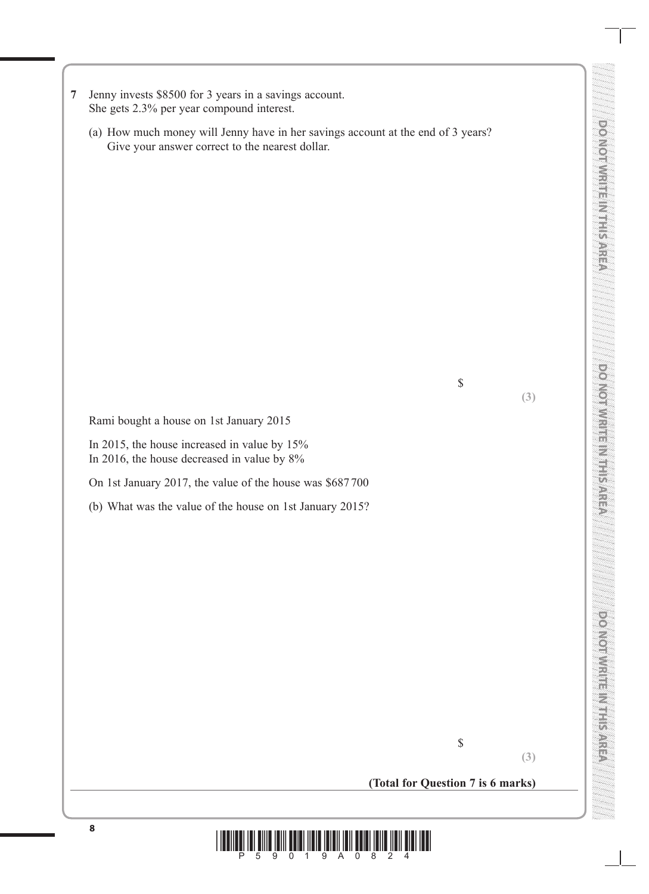**DONOINE MERICURY DO NOT WRITE IN THIS AREA DOMOINTIES IN STRUCTS DO NOT WRITE IN THIS AREA** policial di Centre **DO NOT WRITE IN THIS AREA**

- **7** Jenny invests \$8500 for 3 years in a savings account. She gets 2.3% per year compound interest.
	- (a) How much money will Jenny have in her savings account at the end of 3 years? Give your answer correct to the nearest dollar.

Rami bought a house on 1st January 2015

In 2015, the house increased in value by 15% In 2016, the house decreased in value by 8%

On 1st January 2017, the value of the house was \$687700

(b) What was the value of the house on 1st January 2015?

**(3)**

**(Total for Question 7 is 6 marks)**

\$

\$

**(3)**

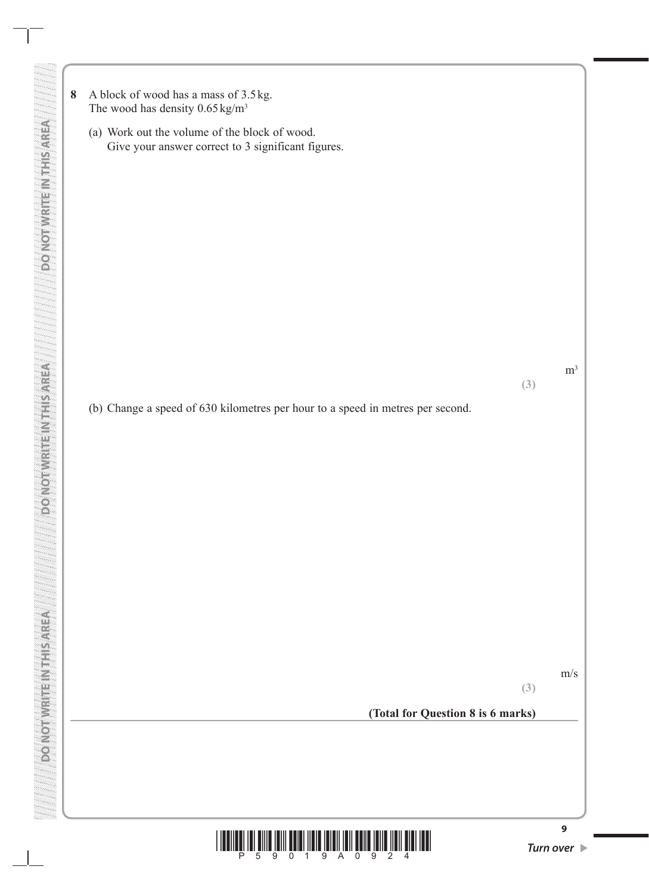**8** A block of wood has a mass of 3.5 kg. The wood has density  $0.65 \text{ kg/m}^3$ 

**DO NOT WRITE IN THIS AREA DO NOT WRITE IN THIS AREA DO NOT WRITE IN THIS AREA**

**DONOIN** REIN NEWS STREET

**DOMOTWEITENING** 

**DO NOT WRITE INTERSAREA** 

(a) Work out the volume of the block of wood. Give your answer correct to 3 significant figures.

(b) Change a speed of 630 kilometres per hour to a speed in metres per second.

m/s

**(3)**

 $m<sup>3</sup>$ 

**(3)**

**(Total for Question 8 is 6 marks)**

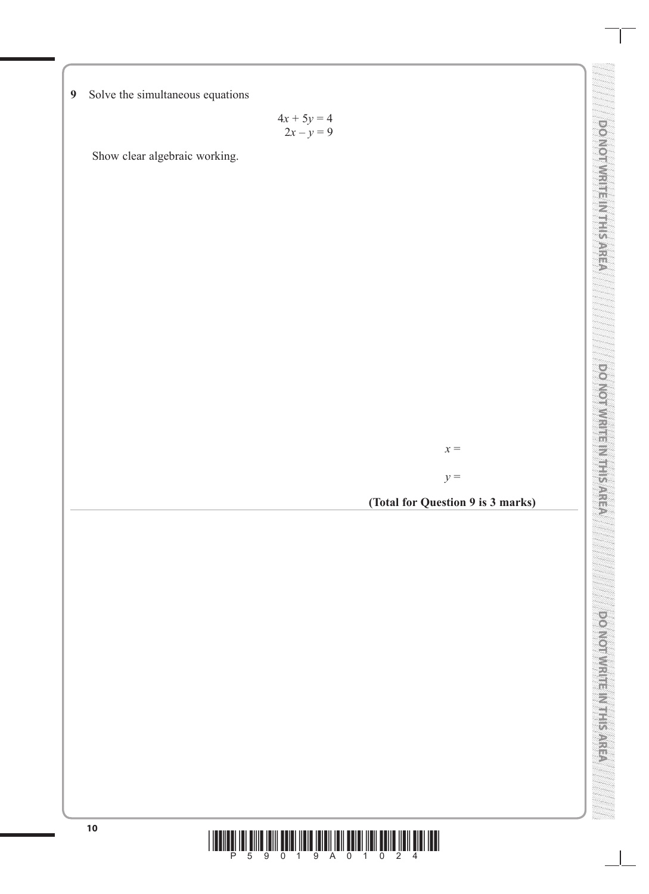**9** Solve the simultaneous equations

 $4x + 5y = 4$  $2x - y = 9$ 

Show clear algebraic working.

*x* =

*y* =

**(Total for Question 9 is 3 marks)**



**DO NOTWER METHS AND CO DO NOT WRITE IN THIS AREA**

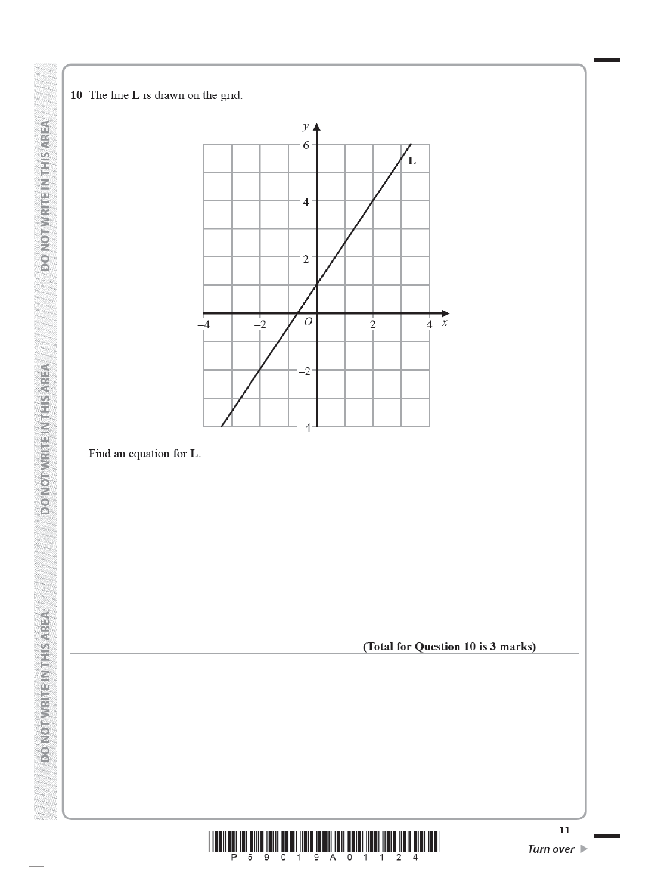10 The line L is drawn on the grid.

DO NOT WRITE IN THIS AREA

**DO NOT WRITE IN THIS AREA** 

**DO NOT WRITEIN THIS AREA** 



# Find an equation for L.

(Total for Question 10 is 3 marks)

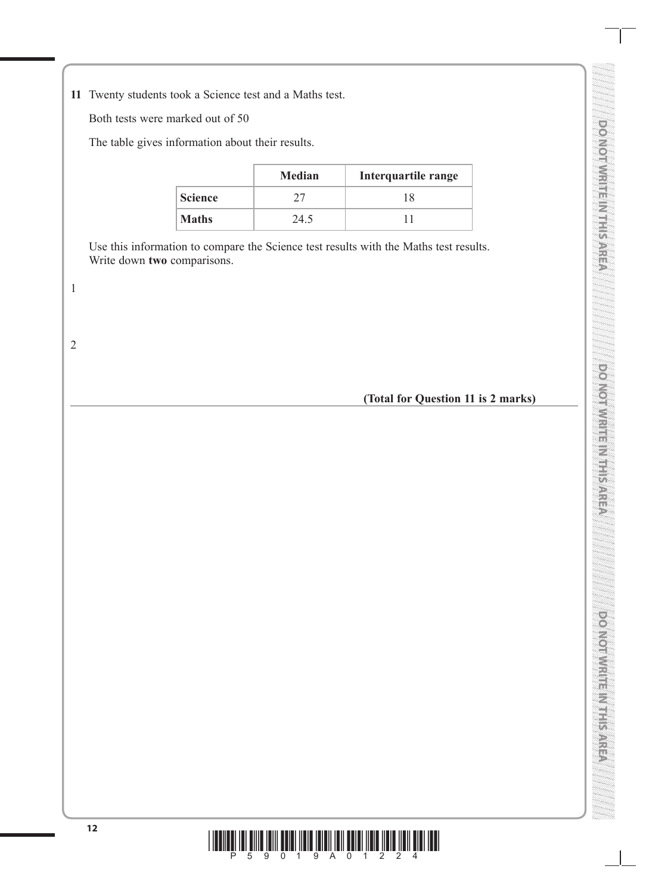DO MOI WRITER MERSORED **DO NOT WRITE IN THIS AREA DOMOINT REPORTS AND A DO NOT WRITE IN THIS AREA**

**DO NOT WRITE IN THIS AREA**

**DO NOT WAS ERIC NAMED A REAL** 

**11** Twenty students took a Science test and a Maths test.

Both tests were marked out of 50

The table gives information about their results.

|                | <b>Median</b> | Interquartile range |
|----------------|---------------|---------------------|
| <b>Science</b> |               | 18                  |
| <b>Maths</b>   | 24.5          |                     |

Use this information to compare the Science test results with the Maths test results. Write down **two** comparisons.

**(Total for Question 11 is 2 marks)**



1

2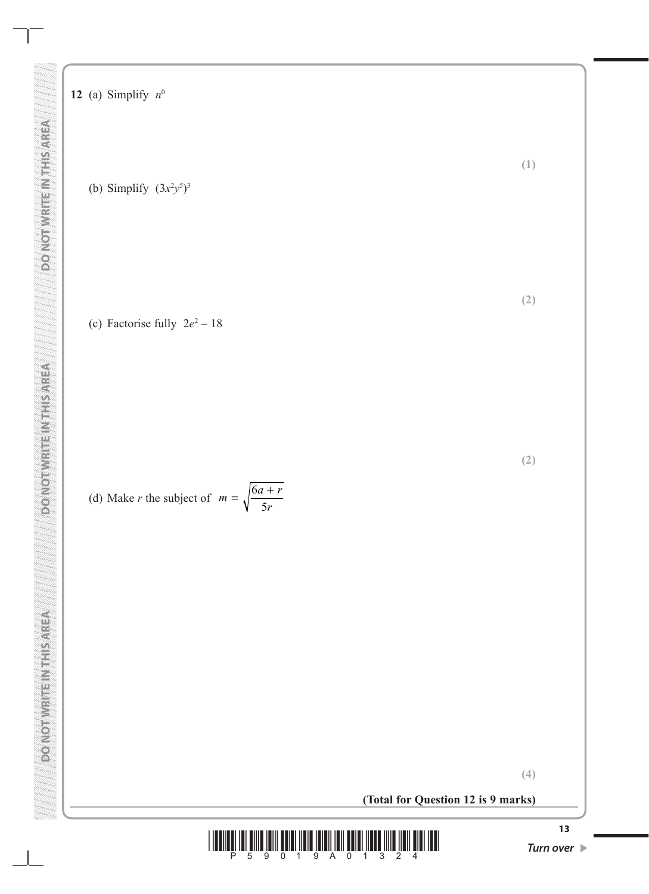# **DO NOT WRITE IN THIS AREA**

**12** (a) Simplify  $n^0$ 

(b) Simplify  $(3x^2y^5)^3$ 

(c) Factorise fully  $2e^2 - 18$ 

(d) Make *r* the subject of 
$$
m = \sqrt{\frac{6a + r}{5r}}
$$

**(Total for Question 12 is 9 marks)**



**(4)**

**(1)**

**(2)**

**(2)**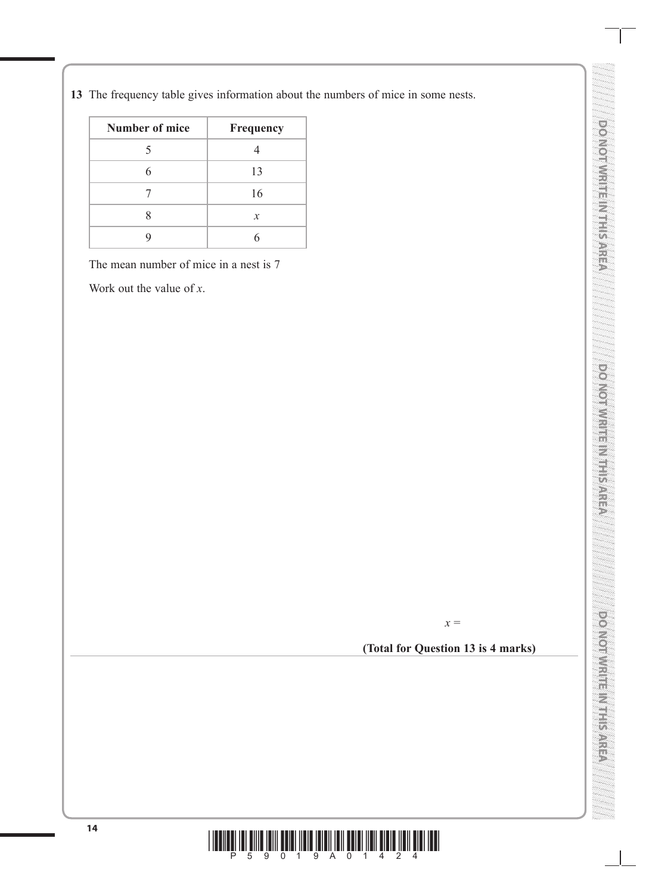**13** The frequency table gives information about the numbers of mice in some nests.

| Number of mice | Frequency     |
|----------------|---------------|
|                |               |
|                | 13            |
|                | 16            |
|                | $\mathcal{X}$ |
|                |               |

The mean number of mice in a nest is 7

Work out the value of *x*.



**DO NOT WRITE IN THIS AREA** 

**DO NOT WRITEIN THIS AREA** 

**DO NOT WRITE IN THIS AREA**

**DO NOT MAIN THE MAIN CO** 

**DO NOT WRITE IN THIS AREA**

DO NOTIVISMENTE SARRISA

# **(Total for Question 13 is 4 marks)**

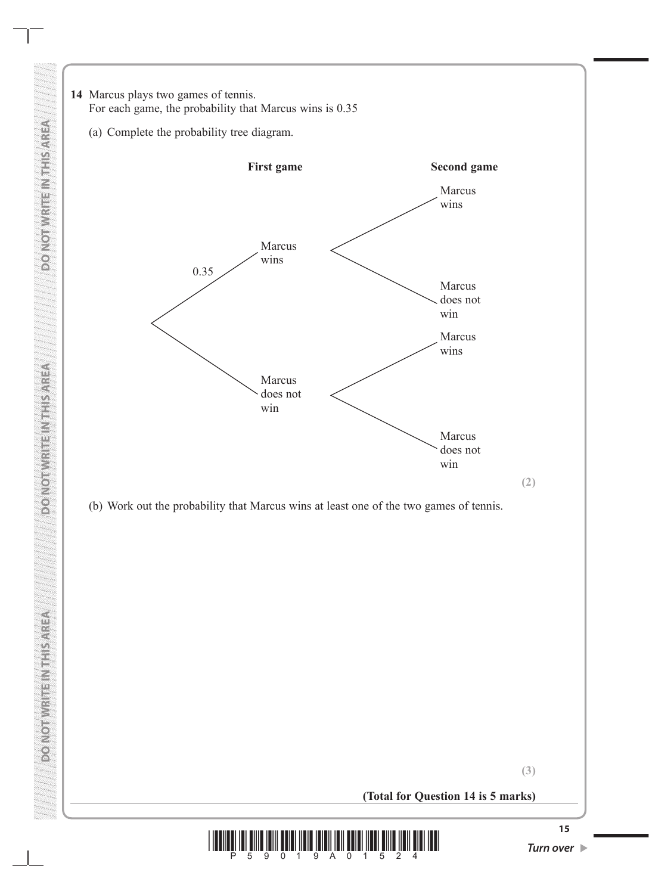

**(3)**

**(Total for Question 14 is 5 marks)**

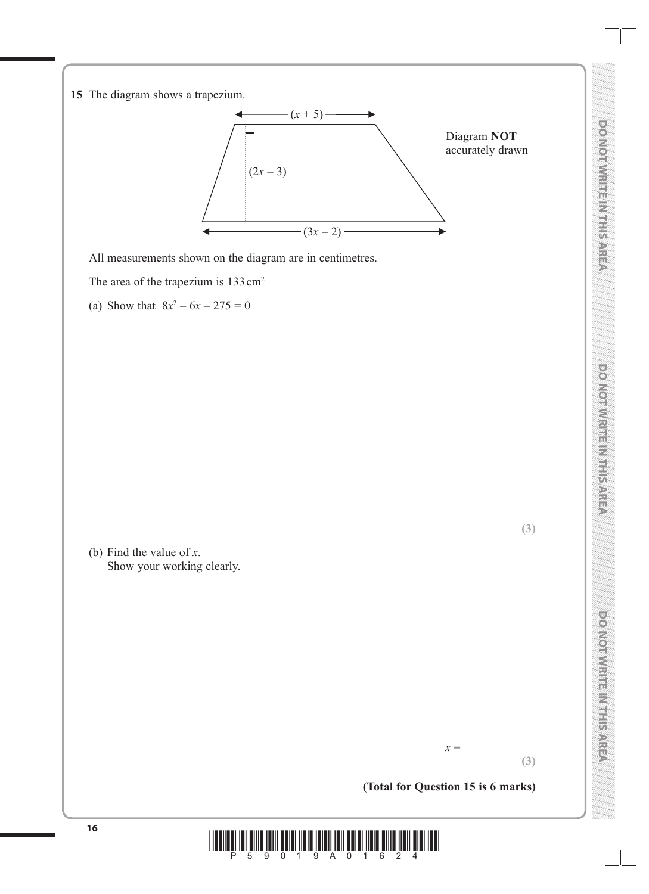**15** The diagram shows a trapezium.



All measurements shown on the diagram are in centimetres.

The area of the trapezium is 133 cm<sup>2</sup>

(a) Show that  $8x^2 - 6x - 275 = 0$ 

(b) Find the value of *x*. Show your working clearly.

**DO NOT WRITE IN THIS AREA**

**DO NOTIVISTIBILITY REPAREA** 

**(3)**

### **(Total for Question 15 is 6 marks)**

*x* =

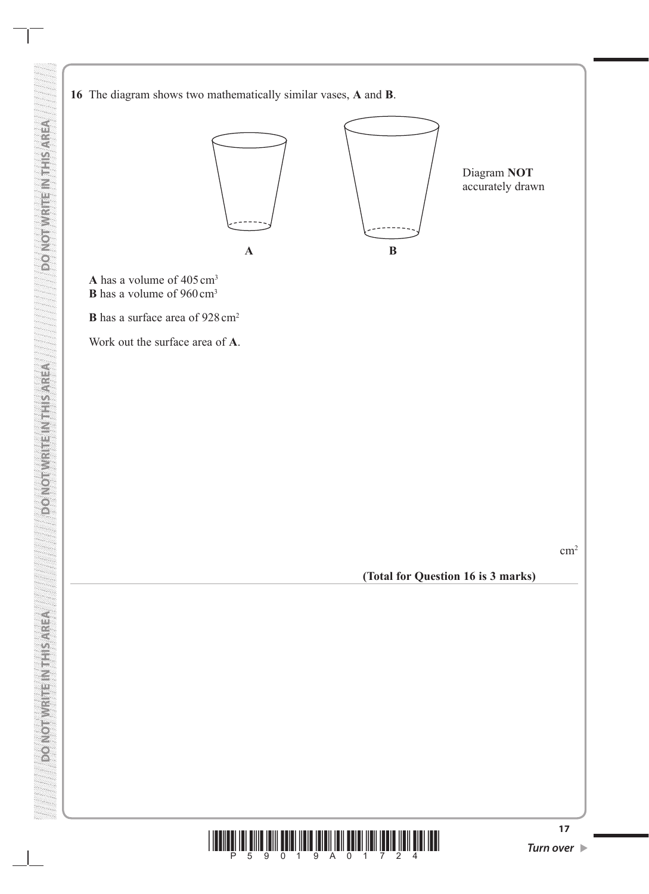**16** The diagram shows two mathematically similar vases, **A** and **B**.



**A** has a volume of 405cm3 **B** has a volume of 960 cm<sup>3</sup>

**B** has a surface area of  $928 \text{ cm}^2$ 

Work out the surface area of **A**.

**DO NOT WRITE IN THIS AREA DO NOT WRITE IN THIS AREA DO NOT WRITE IN THIS AREA**

**DONOFURER VERTICAL** 

**PONOTWRITEINT ISAREA** 

**VERVISITING INTERNATION OF** 

cm2

**(Total for Question 16 is 3 marks)**

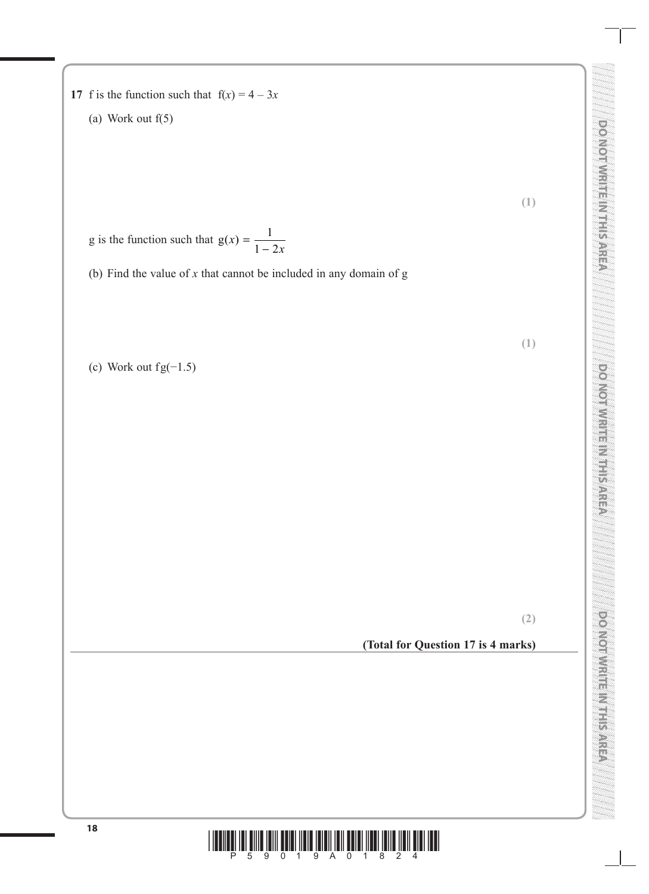- **17** f is the function such that  $f(x) = 4 3x$ 
	- (a) Work out f(5)

**(1)**

**(1)**

**DO NOT WRITE IN THIS AREA** 

**DO NOTIVISITE IN THIS AREA** 

**DO NOT WRITE IN THIS AREA**

**DO NOT WRITE IN MERARES** 

**DO NOT WRITE IN THIS AREA**

**DOMOTIVE ASSESSMENT** 

- g is the function such that  $g(x) = \frac{1}{1 2x}$  $1 - 2$
- (b) Find the value of *x* that cannot be included in any domain of g

(c) Work out fg $(-1.5)$ 

**(2)**

# **(Total for Question 17 is 4 marks)**

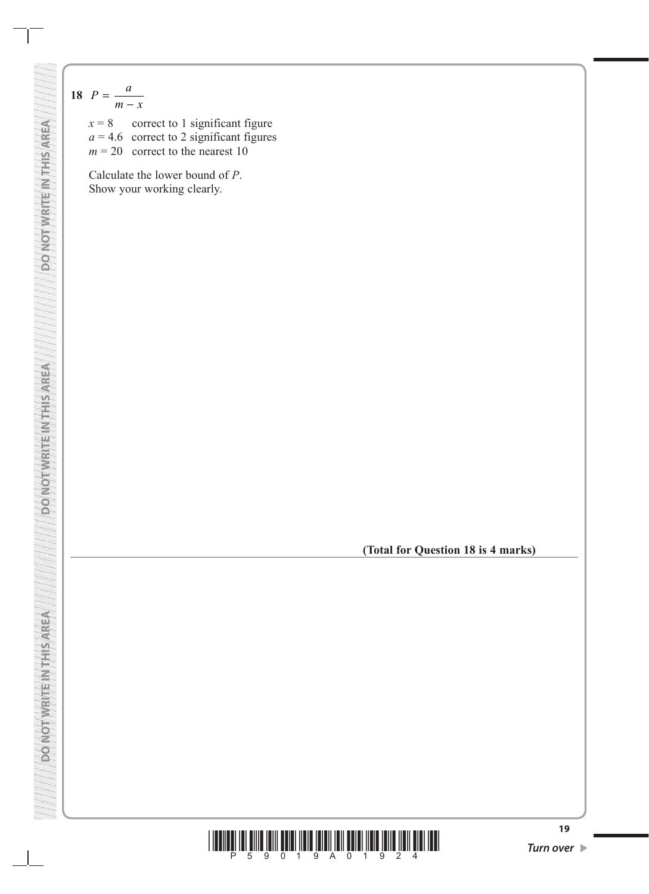$$
18 \quad P = \frac{a}{m - x}
$$

**VERWSITT NEWSWATCN OG** 

**ACTIVITY AND INTERNATIONAL CONTROL** 

 $x = 8$  correct to 1 significant figure  $a = 4.6$  correct to 2 significant figures  $m = 20$  correct to the nearest 10

Calculate the lower bound of *P*. Show your working clearly.

**(Total for Question 18 is 4 marks)**

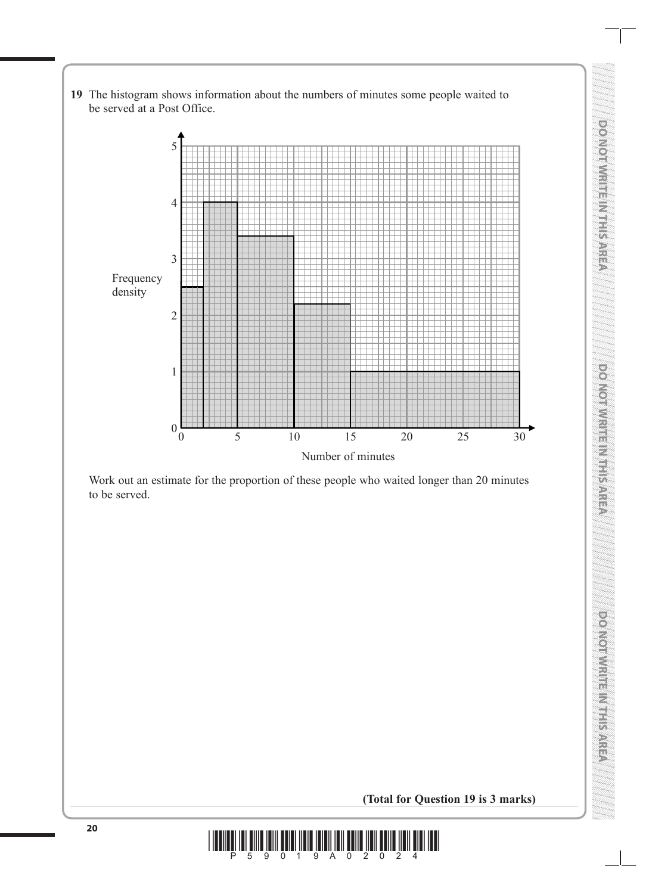**19** The histogram shows information about the numbers of minutes some people waited to be served at a Post Office.



Work out an estimate for the proportion of these people who waited longer than 20 minutes to be served.

**(Total for Question 19 is 3 marks)**

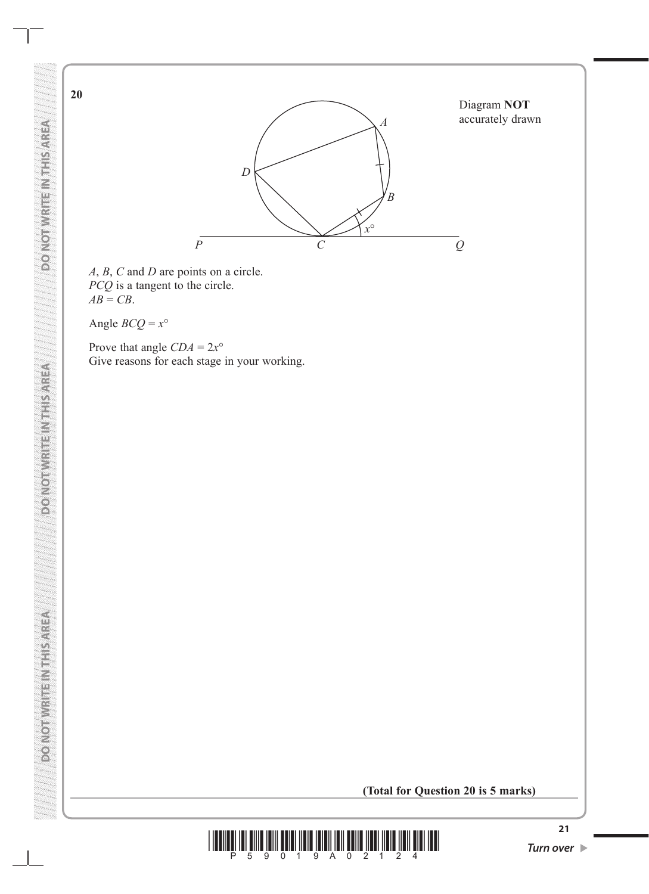

*A*, *B*, *C* and *D* are points on a circle. *PCQ* is a tangent to the circle.  $AB = CB$ .

Angle  $BCQ = x^{\circ}$ 

Prove that angle  $CDA = 2x^{\circ}$ Give reasons for each stage in your working.

**(Total for Question 20 is 5 marks)**



**ABRISHEIN TEILRING OG** 

**20**

**DONOIN**ICI III NIE SALEM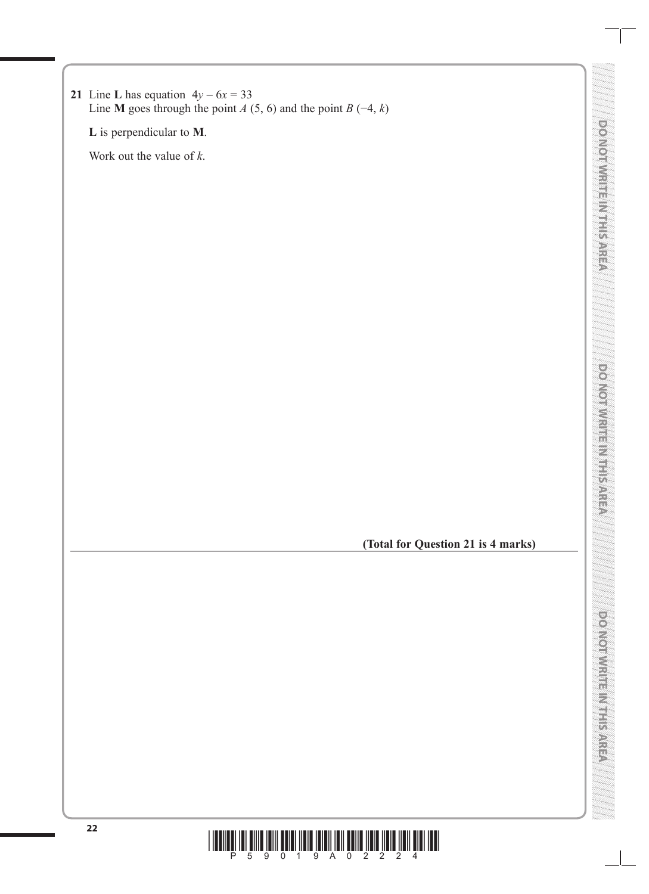**DO NOT WRITE IN THIS AREA**

**VENYSHIMEIRMULONOQ** 

**L** is perpendicular to **M**.

Work out the value of *k*.

**(Total for Question 21 is 4 marks)**

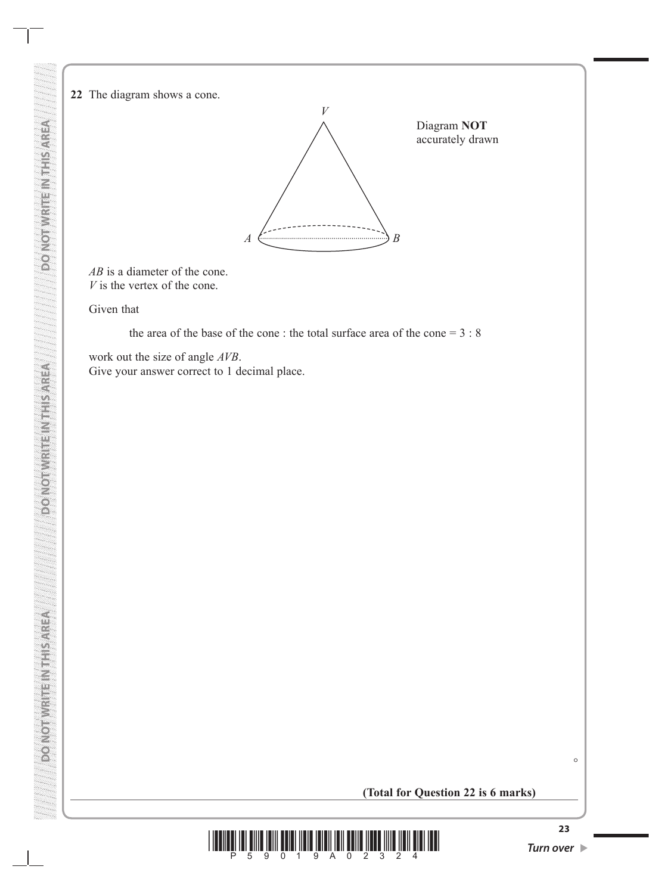**22** The diagram shows a cone.



*AB* is a diameter of the cone. *V* is the vertex of the cone.

Given that

**DO NOT WRITE IN THIS AREA DO NOT WRITE IN THIS AREA DO NOT WRITE IN THIS AREA**

**DOUGLASS AND SEARCH DESCRIPTION** 

**VERVICE METRINISMON OF** 

**VERWSIFIEL VIENS WHOM OG** 

the area of the base of the cone : the total surface area of the cone = 3 : 8

work out the size of angle *AVB*. Give your answer correct to 1 decimal place.

### **(Total for Question 22 is 6 marks)**



 $\circ$